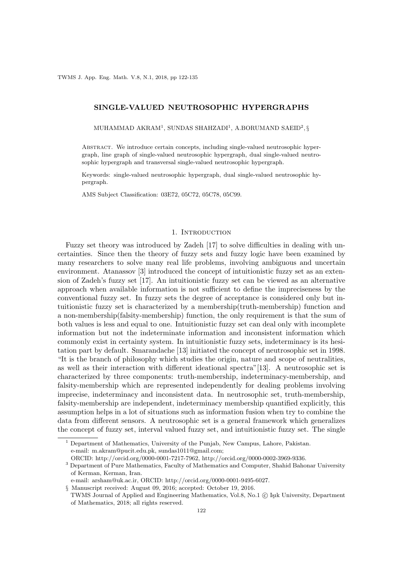TWMS J. App. Eng. Math. V.8, N.1, 2018, pp 122-135

# SINGLE-VALUED NEUTROSOPHIC HYPERGRAPHS

MUHAMMAD AKRAM $^1,$  SUNDAS SHAHZADI $^1,$  A.BORUMAND SAEID $^2, \S$ 

Abstract. We introduce certain concepts, including single-valued neutrosophic hypergraph, line graph of single-valued neutrosophic hypergraph, dual single-valued neutrosophic hypergraph and transversal single-valued neutrosophic hypergraph.

Keywords: single-valued neutrosophic hypergraph, dual single-valued neutrosophic hypergraph.

AMS Subject Classification: 03E72, 05C72, 05C78, 05C99.

### 1. INTRODUCTION

Fuzzy set theory was introduced by Zadeh [17] to solve difficulties in dealing with uncertainties. Since then the theory of fuzzy sets and fuzzy logic have been examined by many researchers to solve many real life problems, involving ambiguous and uncertain environment. Atanassov [3] introduced the concept of intuitionistic fuzzy set as an extension of Zadeh's fuzzy set [17]. An intuitionistic fuzzy set can be viewed as an alternative approach when available information is not sufficient to define the impreciseness by the conventional fuzzy set. In fuzzy sets the degree of acceptance is considered only but intuitionistic fuzzy set is characterized by a membership(truth-membership) function and a non-membership(falsity-membership) function, the only requirement is that the sum of both values is less and equal to one. Intuitionistic fuzzy set can deal only with incomplete information but not the indeterminate information and inconsistent information which commonly exist in certainty system. In intuitionistic fuzzy sets, indeterminacy is its hesitation part by default. Smarandache [13] initiated the concept of neutrosophic set in 1998. "It is the branch of philosophy which studies the origin, nature and scope of neutralities, as well as their interaction with different ideational spectra"[13]. A neutrosophic set is characterized by three components: truth-membership, indeterminacy-membership, and falsity-membership which are represented independently for dealing problems involving imprecise, indeterminacy and inconsistent data. In neutrosophic set, truth-membership, falsity-membership are independent, indeterminacy membership quantified explicitly, this assumption helps in a lot of situations such as information fusion when try to combine the data from different sensors. A neutrosophic set is a general framework which generalizes the concept of fuzzy set, interval valued fuzzy set, and intuitionistic fuzzy set. The single

<sup>1</sup> Department of Mathematics, University of the Punjab, New Campus, Lahore, Pakistan. e-mail: m.akram@pucit.edu.pk, sundas1011@gmail.com;

ORCID: http://orcid.org/0000-0001-7217-7962, http://orcid.org/0000-0002-3969-9336.

<sup>&</sup>lt;sup>3</sup> Department of Pure Mathematics, Faculty of Mathematics and Computer, Shahid Bahonar University of Kerman, Kerman, Iran.

e-mail: arsham@uk.ac.ir, ORCID: http://orcid.org/0000-0001-9495-6027.

<sup>§</sup> Manuscript received: August 09, 2016; accepted: October 19, 2016.

TWMS Journal of Applied and Engineering Mathematics, Vol.8, No.1 (C) Işık University, Department of Mathematics, 2018; all rights reserved.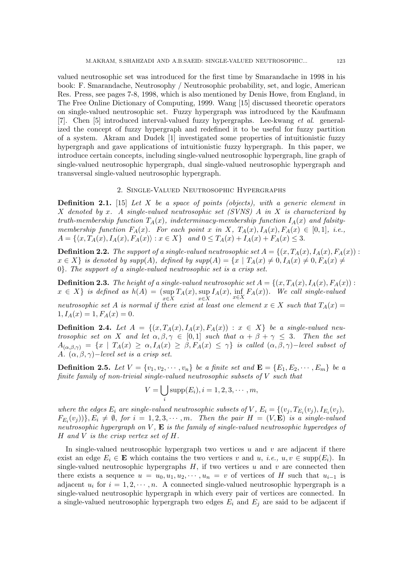valued neutrosophic set was introduced for the first time by Smarandache in 1998 in his book: F. Smarandache, Neutrosophy / Neutrosophic probability, set, and logic, American Res. Press, see pages 7-8, 1998, which is also mentioned by Denis Howe, from England, in The Free Online Dictionary of Computing, 1999. Wang [15] discussed theoretic operators on single-valued neutrosophic set. Fuzzy hypergraph was introduced by the Kaufmann [7]. Chen [5] introduced interval-valued fuzzy hypergraphs. Lee-kwang et al. generalized the concept of fuzzy hypergraph and redefined it to be useful for fuzzy partition of a system. Akram and Dudek [1] investigated some properties of intuitionistic fuzzy hypergraph and gave applications of intuitionistic fuzzy hypergraph. In this paper, we introduce certain concepts, including single-valued neutrosophic hypergraph, line graph of single-valued neutrosophic hypergraph, dual single-valued neutrosophic hypergraph and transversal single-valued neutrosophic hypergraph.

## 2. Single-Valued Neutrosophic Hypergraphs

**Definition 2.1.** [15] Let X be a space of points (objects), with a generic element in X denoted by x. A single-valued neutrosophic set  $(SVNS)$  A in X is characterized by truth-membership function  $T_A(x)$ , indeterminacy-membership function  $I_A(x)$  and falsitymembership function  $F_A(x)$ . For each point x in X,  $T_A(x), I_A(x), F_A(x) \in [0,1],$  i.e.,  $A = \{ \langle x, T_A(x), I_A(x), F_A(x) \rangle : x \in X \}$  and  $0 \le T_A(x) + I_A(x) + F_A(x) \le 3$ .

**Definition 2.2.** The support of a single-valued neutrosophic set  $A = \{(x, T_A(x), I_A(x), F_A(x))\}$ :  $x \in X$  is denoted by supp(A), defined by supp(A) =  $\{x \mid T_A(x) \neq 0, I_A(x) \neq 0, F_A(x) \neq 0\}$ 0}. The support of a single-valued neutrosophic set is a crisp set.

**Definition 2.3.** The height of a single-valued neutrosophic set  $A = \{(x, T_A(x), I_A(x), F_A(x))$ :  $x \in X$  is defined as  $h(A) = (sup$  $\sup_{x \in X} T_A(x)$ ,  $\sup_{x \in X} I_A(x)$ ,  $\inf_{x \in X} F_A(x)$ ). We call single-valued neutrosophic set A is normal if there exist at least one element  $x \in X$  such that  $T_A(x) =$  $1, I_A(x) = 1, F_A(x) = 0.$ 

**Definition 2.4.** Let  $A = \{(x, T_A(x), I_A(x), F_A(x)) : x \in X\}$  be a single-valued neutrosophic set on X and let  $\alpha, \beta, \gamma \in [0,1]$  such that  $\alpha + \beta + \gamma \leq 3$ . Then the set  $A_{(\alpha,\beta,\gamma)} = \{x \mid T_A(x) \geq \alpha, I_A(x) \geq \beta, F_A(x) \leq \gamma\}$  is called  $(\alpha,\beta,\gamma)$ -level subset of A.  $(\alpha, \beta, \gamma)$ -level set is a crisp set.

**Definition 2.5.** Let  $V = \{v_1, v_2, \dots, v_n\}$  be a finite set and  $\mathbf{E} = \{E_1, E_2, \dots, E_m\}$  be a finite family of non-trivial single-valued neutrosophic subsets of V such that

$$
V = \bigcup_i \text{supp}(E_i), i = 1, 2, 3, \cdots, m,
$$

where the edges  $E_i$  are single-valued neutrosophic subsets of V,  $E_i = \{(v_j, T_{E_i}(v_j), I_{E_i}(v_j),$  $(F_{E_i}(v_j))\}, E_i \neq \emptyset$ , for  $i = 1, 2, 3, \cdots, m$ . Then the pair  $H = (V, \mathbf{E})$  is a single-valued neutrosophic hypergraph on  $V$ ,  $\bf{E}$  is the family of single-valued neutrosophic hyperedges of H and V is the crisp vertex set of  $H$ .

In single-valued neutrosophic hypergraph two vertices  $u$  and  $v$  are adjacent if there exist an edge  $E_i \in \mathbf{E}$  which contains the two vertices v and u, i.e.,  $u, v \in \text{supp}(E_i)$ . In single-valued neutrosophic hypergraphs  $H$ , if two vertices u and v are connected then there exists a sequence  $u = u_0, u_1, u_2, \cdots, u_n = v$  of vertices of H such that  $u_{i-1}$  is adjacent  $u_i$  for  $i = 1, 2, \dots, n$ . A connected single-valued neutrosophic hypergraph is a single-valued neutrosophic hypergraph in which every pair of vertices are connected. In a single-valued neutrosophic hypergraph two edges  $E_i$  and  $E_j$  are said to be adjacent if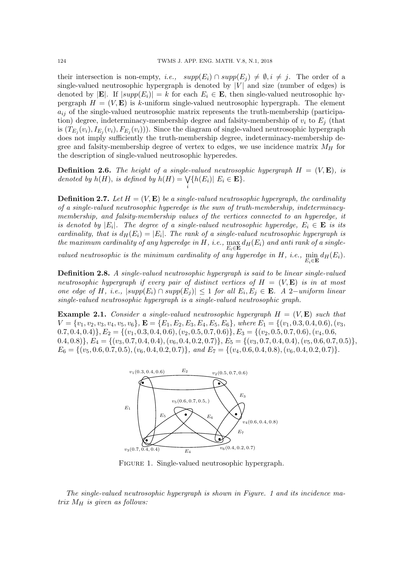their intersection is non-empty, *i.e.*,  $supp(E_i) \cap supp(E_j) \neq \emptyset$ ,  $i \neq j$ . The order of a single-valued neutrosophic hypergraph is denoted by  $|V|$  and size (number of edges) is denoted by  $|\mathbf{E}|$ . If  $|supp(E_i)| = k$  for each  $E_i \in \mathbf{E}$ , then single-valued neutrosophic hypergraph  $H = (V, E)$  is k-uniform single-valued neutrosophic hypergraph. The element  $a_{ij}$  of the single-valued neutrosophic matrix represents the truth-membership (participation) degree, indeterminacy-membership degree and falsity-membership of  $v_i$  to  $E_j$  (that is  $(T_{E_j}(v_i), I_{E_j}(v_i), F_{E_j}(v_i))$ . Since the diagram of single-valued neutrosophic hypergraph does not imply sufficiently the truth-membership degree, indeterminacy-membership degree and falsity-membership degree of vertex to edges, we use incidence matrix  $M_H$  for the description of single-valued neutrosophic hyperedes.

**Definition 2.6.** The height of a single-valued neutrosophic hypergraph  $H = (V, \mathbf{E})$ , is denoted by  $h(H)$ , is defined by  $h(H) = \bigvee$ i  $\{h(E_i)| E_i \in \mathbf{E}\}.$ 

**Definition 2.7.** Let  $H = (V, \mathbf{E})$  be a single-valued neutrosophic hypergraph, the cardinality of a single-valued neutrosophic hyperedge is the sum of truth-membership, indeterminacymembership, and falsity-membership values of the vertices connected to an hyperedge, it is denoted by  $|E_i|$ . The degree of a single-valued neutrosophic hyperedge,  $E_i \in \mathbf{E}$  is its cardinality, that is  $d_H(E_i) = |E_i|$ . The rank of a single-valued neutrosophic hypergraph is the maximum cardinality of any hyperedge in H, i.e.,  $\max_{E_i \in \mathbf{E}} d_H(E_i)$  and anti rank of a single-

valued neutrosophic is the minimum cardinality of any hyperedge in H, i.e.,  $\min_{E_i \in \mathbf{E}} d_H(E_i)$ .

**Definition 2.8.** A single-valued neutrosophic hypergraph is said to be linear single-valued neutrosophic hypergraph if every pair of distinct vertices of  $H = (V, E)$  is in at most one edge of H, i.e.,  $|supp(E_i) \cap supp(E_j)| \leq 1$  for all  $E_i, E_j \in \mathbf{E}$ . A 2-uniform linear single-valued neutrosophic hypergraph is a single-valued neutrosophic graph.

**Example 2.1.** Consider a single-valued neutrosophic hypergraph  $H = (V, E)$  such that  $V = \{v_1, v_2, v_3, v_4, v_5, v_6\}, \mathbf{E} = \{E_1, E_2, E_3, E_4, E_5, E_6\},$  where  $E_1 = \{(v_1, 0.3, 0.4, 0.6), (v_3,$  $(0.7, 0.4, 0.4)$ ,  $E_2 = \{(v_1, 0.3, 0.4, 0.6), (v_2, 0.5, 0.7, 0.6)\}, E_3 = \{(v_2, 0.5, 0.7, 0.6), (v_4, 0.6,$  $(0.4, 0.8)$ ,  $E_4 = \{(v_3, 0.7, 0.4, 0.4), (v_6, 0.4, 0.2, 0.7)\}, E_5 = \{(v_3, 0.7, 0.4, 0.4), (v_5, 0.6, 0.7, 0.5)\},\$  $E_6 = \{(v_5, 0.6, 0.7, 0.5), (v_6, 0.4, 0.2, 0.7)\}, \text{ and } E_7 = \{(v_4, 0.6, 0.4, 0.8), (v_6, 0.4, 0.2, 0.7)\}.$ 



Figure 1. Single-valued neutrosophic hypergraph.

The single-valued neutrosophic hypergraph is shown in Figure. 1 and its incidence matrix  $M_H$  is given as follows: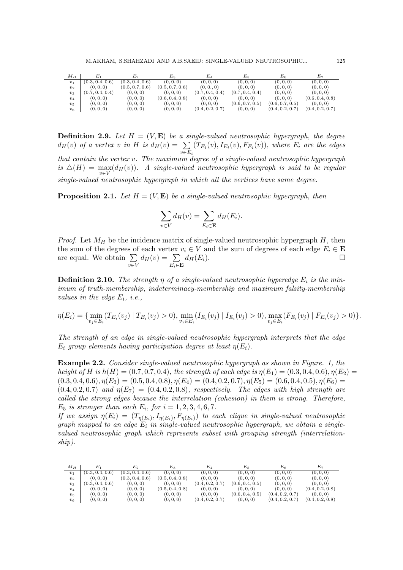| $M_H$   |                 | $E_2$           | $E_3$           | $E_4$           | $E_5$           | $E_6$           | E7              |
|---------|-----------------|-----------------|-----------------|-----------------|-----------------|-----------------|-----------------|
| $v_1$   | (0.3, 0.4, 0.6) | (0.3, 0.4, 0.6) | (0, 0, 0)       | (0, 0, 0)       | (0, 0, 0)       | (0, 0, 0)       | (0, 0, 0)       |
| $v_2$   | (0, 0, 0)       | (0.5, 0.7, 0.6) | (0.5, 0.7, 0.6) | (0, 0., 0)      | (0, 0, 0)       | (0, 0, 0)       | (0, 0, 0)       |
| $v_3$   | (0.7, 0.4, 0.4) | (0, 0, 0)       | (0, 0, 0)       | (0.7, 0.4, 0.4) | (0.7, 0.4, 0.4) | (0, 0, 0)       | (0, 0, 0)       |
| $v_4$   | (0, 0, 0)       | (0, 0, 0)       | (0.6, 0.4, 0.8) | (0, 0, 0)       | (0, 0, 0)       | (0, 0, 0)       | (0.6, 0.4, 0.8) |
| $v_5$   | (0, 0, 0)       | (0, 0, 0)       | (0, 0, 0)       | (0, 0, 0)       | (0.6, 0.7, 0.5) | (0.6, 0.7, 0.5) | (0, 0, 0)       |
| $v_{6}$ | (0, 0, 0)       | (0, 0, 0)       | (0, 0, 0)       | (0.4, 0.2, 0.7) | (0, 0, 0)       | (0.4, 0.2, 0.7) | (0.4, 0.2, 0.7) |

**Definition 2.9.** Let  $H = (V, E)$  be a single-valued neutrosophic hypergraph, the degree  $d_H(v)$  of a vertex v in H is  $d_H(v) = \sum$  $v \in E_i$  $(T_{E_i}(v), I_{E_i}(v), F_{E_i}(v))$ , where  $E_i$  are the edges that contain the vertex v. The maximum degree of a single-valued neutrosophic hypergraph is  $\Delta(H) = \max_{v \in V} (d_H(v))$ . A single-valued neutrosophic hypergraph is said to be regular single-valued neutrosophic hypergraph in which all the vertices have same degree.

**Proposition 2.1.** Let  $H = (V, E)$  be a single-valued neutrosophic hypergraph, then

$$
\sum_{v \in V} d_H(v) = \sum_{E_i \in \mathbf{E}} d_H(E_i).
$$

*Proof.* Let  $M_H$  be the incidence matrix of single-valued neutrosophic hypergraph  $H$ , then the sum of the degrees of each vertex  $v_i \in V$  and the sum of degrees of each edge  $E_i \in \mathbf{E}$ are equal. We obtain  $\Sigma$ v∈V  $d_H(v) = \sum$  $E_i \in \mathbf{E}$  $d_H(E_i).$ 

**Definition 2.10.** The strength  $\eta$  of a single-valued neutrosophic hyperedge  $E_i$  is the minimum of truth-membership, indeterminacy-membership and maximum falsity-membership values in the edge  $E_i$ , i.e.,

$$
\eta(E_i) = \{\min_{v_j \in E_i} (T_{E_i}(v_j) \mid T_{E_i}(v_j) > 0), \min_{v_j \in E_i} (I_{E_i}(v_j) \mid I_{E_i}(v_j) > 0), \max_{v_j \in E_i} (F_{E_i}(v_j) \mid F_{E_i}(v_j) > 0)\}.
$$

The strength of an edge in single-valued neutrosophic hypergraph interprets that the edge  $E_i$  group elements having participation degree at least  $\eta(E_i)$ .

**Example 2.2.** Consider single-valued neutrosophic hypergraph as shown in Figure. 1, the height of H is  $h(H) = (0.7, 0.7, 0.4)$ , the strength of each edge is  $\eta(E_1) = (0.3, 0.4, 0.6)$ ,  $\eta(E_2) =$  $(0.3, 0.4, 0.6), \eta(E_3) = (0.5, 0.4, 0.8), \eta(E_4) = (0.4, 0.2, 0.7), \eta(E_5) = (0.6, 0.4, 0.5), \eta(E_6) =$  $(0.4, 0.2, 0.7)$  and  $\eta(E_7) = (0.4, 0.2, 0.8)$ , respectively. The edges with high strength are called the strong edges because the interrelation (cohesion) in them is strong. Therefore,  $E_5$  is stronger than each  $E_i$ , for  $i = 1, 2, 3, 4, 6, 7$ .

If we assign  $\eta(E_i) = (T_{\eta(E_i)}, I_{\eta(E_i)}, F_{\eta(E_i)})$  to each clique in single-valued neutrosophic graph mapped to an edge  $E_i$  in single-valued neutrosophic hypergraph, we obtain a singlevalued neutrosophic graph which represents subset with grouping strength (interrelationship).

| $M_H$          |                              | $E_2$           | $E_{3}$         | $E_{\it 4}$     | $E_{\rm 5}$     | $E_6$           | Е7              |
|----------------|------------------------------|-----------------|-----------------|-----------------|-----------------|-----------------|-----------------|
| $v_1$          | $(0.3, 0.\overline{4, 0.6})$ | (0.3, 0.4, 0.6) | (0, 0, 0)       | (0, 0, 0)       | (0, 0, 0)       | (0, 0, 0)       | (0, 0, 0)       |
| v <sub>2</sub> | (0, 0, 0)                    | (0.3, 0.4, 0.6) | (0.5, 0.4, 0.8) | (0, 0, 0)       | (0, 0, 0)       | (0, 0, 0)       | (0, 0, 0)       |
| $v_3$          | (0.3, 0.4, 0.6)              | (0, 0, 0)       | (0, 0, 0)       | (0.4, 0.2, 0.7) | (0.6, 0.4, 0.5) | (0, 0, 0)       | (0, 0, 0)       |
| $v_4$          | (0, 0, 0)                    | (0, 0, 0)       | (0.5, 0.4, 0.8) | (0, 0, 0)       | (0, 0, 0)       | (0, 0, 0)       | (0.4, 0.2, 0.8) |
| $v_5$          | (0, 0, 0)                    | (0, 0, 0)       | (0, 0, 0)       | (0, 0, 0)       | (0.6, 0.4, 0.5) | (0.4, 0.2, 0.7) | (0, 0, 0)       |
| $v_6$          | (0, 0, 0)                    | (0, 0, 0)       | (0, 0, 0)       | (0.4, 0.2, 0.7) | (0, 0, 0)       | (0.4, 0.2, 0.7) | (0.4, 0.2, 0.8) |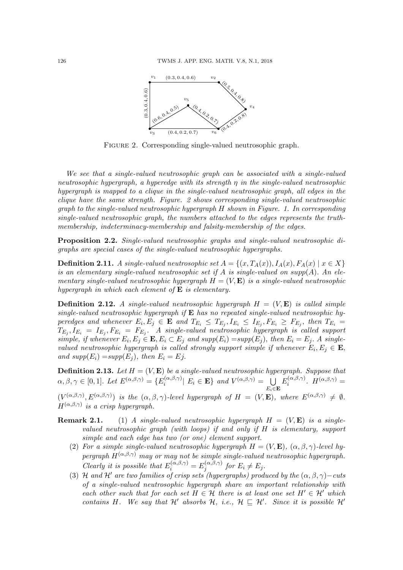

FIGURE 2. Corresponding single-valued neutrosophic graph.

We see that a single-valued neutrosophic graph can be associated with a single-valued neutrosophic hypergraph, a hyperedge with its strength  $\eta$  in the single-valued neutrosophic hypergraph is mapped to a clique in the single-valued neutrosophic graph, all edges in the clique have the same strength. Figure. 2 shows corresponding single-valued neutrosophic graph to the single-valued neutrosophic hypergraph H shown in Figure. 1. In corresponding single-valued neutrosophic graph, the numbers attached to the edges represents the truthmembership, indeterminacy-membership and falsity-membership of the edges.

Proposition 2.2. Single-valued neutrosophic graphs and single-valued neutrosophic digraphs are special cases of the single-valued neutrosophic hypergraphs.

**Definition 2.11.** A single-valued neutrosophic set  $A = \{(x, T_A(x)), I_A(x), F_A(x) | x \in X\}$ is an elementary single-valued neutrosophic set if A is single-valued on supp(A). An elementary single-valued neutrosophic hypergraph  $H = (V, \mathbf{E})$  is a single-valued neutrosophic hypergraph in which each element of  $E$  is elementary.

**Definition 2.12.** A single-valued neutrosophic hypergraph  $H = (V, E)$  is called simple single-valued neutrosophic hypergraph if  $E$  has no repeated single-valued neutrosophic hyperedges and whenever  $E_i, E_j \in \mathbf{E}$  and  $T_{E_i} \leq T_{E_j}, I_{E_i} \leq I_{E_j}, F_{E_i} \geq F_{E_j}$ , then  $T_{E_i} =$  $T_{E_j}, I_{E_i} = I_{E_j}, F_{E_i} = F_{E_j}.$  A single-valued neutrosophic hypergraph is called support simple, if whenever  $E_i, E_j \in \mathbf{E}, E_i \subset E_j$  and  $supp(E_i) = supp(E_j)$ , then  $E_i = E_j$ . A singlevalued neutrosophic hypergraph is called strongly support simple if whenever  $E_i, E_j \in \mathbf{E}$ , and  $supp(E_i) = supp(E_j)$ , then  $E_i = Ej$ .

**Definition 2.13.** Let  $H = (V, E)$  be a single-valued neutrosophic hypergraph. Suppose that  $\alpha, \beta, \gamma \in [0,1]$ . Let  $E^{(\alpha,\beta,\gamma)} = \{E_i^{(\alpha,\beta,\gamma)}\}$  $\left\{ \left. \begin{array}{c} \left( \alpha ,\beta ,\gamma \right) \right| \ E_i \in \mathbf{E} \right\} \ and \ V^{(\alpha ,\beta ,\gamma)} = \ \bigcup \ \mathbb{R}^n \end{array} \right.$  $E_i \in \mathbf{E}$  $E_i^{(\alpha,\beta,\gamma)}$  $i^{(\alpha,\beta,\gamma)}$ .  $H^{(\alpha,\beta,\gamma)}=$ 

 $(V^{(\alpha,\beta,\gamma)},E^{(\alpha,\beta,\gamma)})$  is the  $(\alpha,\beta,\gamma)$ -level hypergraph of  $H = (V, \mathbf{E})$ , where  $E^{(\alpha,\beta,\gamma)} \neq \emptyset$ .  $H^{(\alpha,\beta,\gamma)}$  is a crisp hypergraph.

- **Remark 2.1.** (1) A single-valued neutrosophic hypergraph  $H = (V, E)$  is a singlevalued neutrosophic graph (with loops) if and only if H is elementary, support simple and each edge has two (or one) element support.
	- (2) For a simple single-valued neutrosophic hypergraph  $H = (V, \mathbf{E})$ ,  $(\alpha, \beta, \gamma)$ -level hypergraph  $H^{(\alpha,\beta,\gamma)}$  may or may not be simple single-valued neutrosophic hypergraph. Clearly it is possible that  $E_i^{(\alpha,\beta,\gamma)} = E_j^{(\alpha,\beta,\gamma)}$  $j_j^{(\alpha,\rho,\gamma)}$  for  $E_i \neq E_j$ .
	- (3) H and H' are two families of crisp sets (hypergraphs) produced by the  $(\alpha, \beta, \gamma)$ –cuts of a single-valued neutrosophic hypergraph share an important relationship with each other such that for each set  $H \in \mathcal{H}$  there is at least one set  $H' \in \mathcal{H}'$  which contains H. We say that H' absorbs H, i.e.,  $H \sqsubseteq H'$ . Since it is possible H'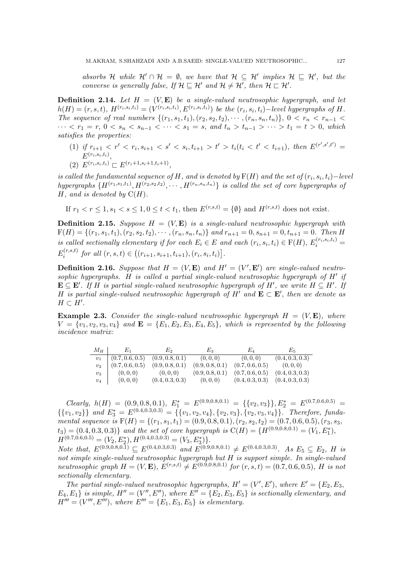absorbs H while  $\mathcal{H}' \cap \mathcal{H} = \emptyset$ , we have that  $\mathcal{H} \subseteq \mathcal{H}'$  implies  $\mathcal{H} \subseteq \mathcal{H}'$ , but the converse is generally false, If  $\mathcal{H} \subseteq \mathcal{H}'$  and  $\mathcal{H} \neq \mathcal{H}'$ , then  $\mathcal{H} \sqsubset \mathcal{H}'$ .

**Definition 2.14.** Let  $H = (V, E)$  be a single-valued neutrosophic hypergraph, and let  $h(H) = (r, s, t), H^{(r_i, s_i, t_i)} = (V^{(r_i, s_i, t_i)}, E^{(r_i, s_i, t_i)})$  be the  $(r_i, s_i, t_i)$ -level hypergraphs of H. The sequence of real numbers  $\{(r_1, s_1, t_1), (r_2, s_2, t_2), \cdots, (r_n, s_n, t_n)\}, 0 < r_n < r_{n-1}$ · · ·  $\langle r_1 = r, 0 \langle s_n \langle s_{n-1} \langle s_1 \rangle \rangle = s, \text{ and } t_n > t_{n-1} > \cdots > t_1 = t > 0, \text{ which}$ satisfies the properties:

- (1) if  $r_{i+1} < r' < r_i, s_{i+1} < s' < s_i, t_{i+1} > t' > t_i (t_i < t' < t_{i+1}),$  then  $E^{(r', s', t')}$  $E^{(r_i,s_i,t_i)},$
- (2)  $E^{(r_i,s_i,t_i)} \sqsubset E^{(r_i+1,s_i+1,t_i+1)},$

is called the fundamental sequence of H, and is denoted by  $\mathrm{F}(H)$  and the set of  $(r_i, s_i, t_i) -$ level hypergraphs  $\{H^{(r_1,s_1,t_1)}, H^{(r_2,s_2,t_2)}, \cdots, H^{(r_n,s_n,t_n)}\}$  is called the set of core hypergraphs of  $H$ , and is denoted by  $C(H)$ .

If  $r_1 < r < 1$ ,  $s_1 < s < 1$ ,  $0 < t < t_1$ , then  $E^{(r,s,t)} = \{ \emptyset \}$  and  $H^{(r,s,t)}$  does not exist.

**Definition 2.15.** Suppose  $H = (V, E)$  is a single-valued neutrosophic hypergraph with  $F(H) = \{(r_1, s_1, t_1), (r_2, s_2, t_2), \cdots, (r_n, s_n, t_n)\}\$ and  $r_{n+1} = 0, s_{n+1} = 0, t_{n+1} = 0$ . Then H is called sectionally elementary if for each  $E_i \in E$  and each  $(r_i, s_i, t_i) \in F(H)$ ,  $E_i^{(r_i, s_i, t_i)}$  $E_i^{(r,s,t)}$  $\int_i^{(r,s,t)}$  for all  $(r,s,t) \in ((r_{i+1}, s_{i+1}, t_{i+1}), (r_i, s_i, t_i)].$ 

**Definition 2.16.** Suppose that  $H = (V, \mathbf{E})$  and  $H' = (V', \mathbf{E}')$  are single-valued neutrosophic hypergraphs. H is called a partial single-valued neutrosophic hypergraph of  $H'$  if  $\mathbf{E} \subseteq \mathbf{E}'$ . If H is partial single-valued neutrosophic hypergraph of H', we write  $H \subseteq H'$ . If H is partial single-valued neutrosophic hypergraph of H' and  $\mathbf{E} \subset \mathbf{E}'$ , then we denote as  $H \subset H'.$ 

**Example 2.3.** Consider the single-valued neutrosophic hypergraph  $H = (V, E)$ , where  $V = \{v_1, v_2, v_3, v_4\}$  and  $\mathbf{E} = \{E_1, E_2, E_3, E_4, E_5\}$ , which is represented by the following incidence matrix:

| $M_H$ | $E_1$                   | $E_2$           | $E_3$           | $E_4$                               | $E_{5}$         |
|-------|-------------------------|-----------------|-----------------|-------------------------------------|-----------------|
| $v_1$ | $\vert$ (0.7, 0.6, 0.5) | (0.9, 0.8, 0.1) | (0,0,0)         | (0,0,0)                             | (0.4, 0.3, 0.3) |
| $v_2$ | (0.7, 0.6, 0.5)         | (0.9, 0.8, 0.1) | (0.9, 0.8, 0.1) | (0.7, 0.6, 0.5)                     | (0,0,0)         |
| $v_3$ | (0,0,0)                 | (0,0,0)         | (0.9, 0.8, 0.1) | (0.7, 0.6, 0.5)                     | (0.4, 0.3, 0.3) |
| $v_4$ | (0,0,0)                 | (0.4, 0.3, 0.3) | (0,0,0)         | $(0.4, 0.3, 0.3)$ $(0.4, 0.3, 0.3)$ |                 |

Clearly,  $h(H) = (0.9, 0.8, 0.1), E_1^* = E^{(0.9, 0.8, 0.1)} = \{\{v_2, v_3\}\}, E_2^* = E^{(0.7, 0.6, 0.5)}$  $\{\{v_1, v_2\}\}\$  and  $E_3^* = E^{(0.4, 0.3, 0.3)} = \{\{v_1, v_2, v_4\}, \{v_2, v_3\}, \{v_2, v_3, v_4\}\}\.$  Therefore, fundamental sequence is  $F(H) = \{(r_1, s_1, t_1) = (0.9, 0.8, 0.1), (r_2, s_2, t_2) = (0.7, 0.6, 0.5), (r_3, s_3,$  $(t_3) = (0.4, 0.3, 0.3)$  and the set of core hypergraph is  $C(H) = \{H^{(0.9, 0.8, 0.1)} = (V_1, E_1^*)$ ,  $H^{(0.7,0.6,0.5)} = (V_2, E_2^*), H^{(0.4,0.3,0.3)} = (V_3, E_3^*)\}.$ 

Note that,  $E^{(0.9,0.8,0.1)} \subseteq E^{(0.4,0.3,0.3)}$  and  $E^{(0.9,0.8,0.1)} \neq E^{(0.4,0.3,0.3)}$ . As  $E_5 \subseteq E_2$ , H is not simple single-valued neutrosophic hypergraph but H is support simple. In single-valued neutrosophic graph  $H = (V, \mathbf{E}), E^{(r,s,t)} \neq E^{(0.9,0.8,0.1)}$  for  $(r, s, t) = (0.7, 0.6, 0.5), H$  is not sectionally elementary.

The partial single-valued neutrosophic hypergraphs,  $H' = (V', E')$ , where  $E' = \{E_2, E_3, E_4\}$  $E_4, E_1$  is simple,  $H'' = (V'', E'')$ , where  $E'' = \{E_2, E_3, E_5\}$  is sectionally elementary, and  $H''' = (V''', E''')$ , where  $E''' = \{E_1, E_3, E_5\}$  is elementary.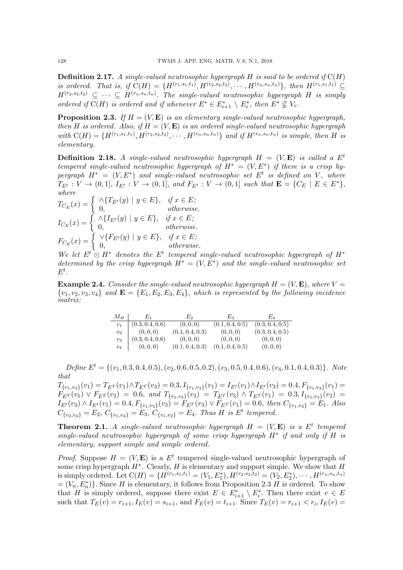**Definition 2.17.** A single-valued neutrosophic hypergraph H is said to be ordered if  $C(H)$ is ordered. That is, if  $C(H) = {H^{(r_1,s_1,t_1)}, H^{(r_2,s_2,t_2)}, \cdots, H^{(r_n,s_n,t_n)}}$ , then  $H^{(r_1,s_1,t_1)} \subseteq$  $H^{(r_2,s_2,t_2)} \subseteq \cdots \subseteq H^{(r_n,s_n,t_n)}$ . The single-valued neutrosophic hypergraph H is simply ordered if  $C(H)$  is ordered and if whenever  $E^* \in E_{i+1}^* \setminus E_i^*$ , then  $E^* \nsubseteq V_i$ .

**Proposition 2.3.** If  $H = (V, E)$  is an elementary single-valued neutrosophic hypergraph, then H is ordered. Also, if  $H = (V, \mathbf{E})$  is an ordered single-valued neutrosophic hypergraph with  $C(H) = {H^{(r_1,s_1,t_1)}, H^{(r_2,s_2,t_2)}, \cdots, H^{(r_n,s_n,t_n)}}$  and if  $H^{(r_n,s_n,t_n)}$  is simple, then H is elementary.

**Definition 2.18.** A single-valued neutrosophic hypergraph  $H = (V, E)$  is called a  $E^t$ tempered single-valued neutrosophic hypergraph of  $H^* = (V, E^*)$  if there is a crisp hypergraph  $H^* = (V, E^*)$  and single-valued neutrosophic set  $E^t$  is defined on V, where  $T_{E^t}: V \to (0,1], I_{E^t}: V \to (0,1],$  and  $F_{E^t}: V \to (0,1]$  such that  $\mathbf{E} = \{C_E \mid E \in E^*\},$ where

$$
T_{C_E}(x) = \begin{cases} \wedge \{T_{E^t}(y) \mid y \in E\}, & \text{if } x \in E; \\ 0, & \text{otherwise.} \end{cases}
$$
  
\n
$$
I_{C_E}(x) = \begin{cases} \wedge \{I_{E^t}(y) \mid y \in E\}, & \text{if } x \in E; \\ 0, & \text{otherwise.} \end{cases}
$$
  
\n
$$
F_{C_E}(x) = \begin{cases} \vee \{F_{E^t}(y) \mid y \in E\}, & \text{if } x \in E; \\ 0, & \text{otherwise.} \end{cases}
$$

We let  $E^t \otimes H^*$  denotes the  $E^t$  tempered single-valued neutrosophic hypergraph of  $H^*$ determined by the crisp hypergraph  $H^* = (V, E^*)$  and the single-valued neutrosophic set  $E^t$ .

**Example 2.4.** Consider the single-valued neutrosophic hypergraph  $H = (V, \mathbf{E})$ , where  $V =$  $\{v_1, v_2, v_3, v_4\}$  and  $\mathbf{E} = \{E_1, E_2, E_3, E_4\}$ , which is represented by the following incidence matrix:

| $M_H$ | $E_1$           | $E_2$           | $E_{\rm 3}$     | Eл              |
|-------|-----------------|-----------------|-----------------|-----------------|
| $v_1$ | (0.3, 0.4, 0.6) | (0, 0, 0)       | (0.1, 0.4, 0.5) | (0.3, 0.4, 0.5) |
| $v_2$ | (0,0,0)         | (0.1, 0.4, 0.3) | (0,0,0)         | (0.3, 0.4, 0.5) |
| $v_3$ | (0.3, 0.4, 0.6) | (0,0,0)         | (0,0,0)         | (0,0,0)         |
| $v_4$ | (0,0,0)         | (0.1, 0.4, 0.3) | (0.1, 0.4, 0.5) | (0,0,0)         |

 $Define E<sup>t</sup> = \{(v_1, 0.3, 0.4, 0.5), (v_2, 0.6, 0.5, 0.2), (v_3, 0.5, 0.4, 0.6), (v_4, 0.1, 0.4, 0.3)\}. Note$ that

 $T_{\{v_1,v_3\}}(v_1) = T_{E^T}(v_1) \wedge T_{E^T}(v_3) = 0.3, I_{\{v_1,v_3\}}(v_1) = I_{E^t}(v_1) \wedge I_{E^t}(v_3) = 0.4, F_{\{v_1,v_3\}}(v_1) =$  $F_{E}(v_1) \vee F_{E}(v_3) = 0.6$ , and  $T_{\{v_1,v_3\}}(v_3) = T_{E}(v_3) \wedge T_{E}(v_1) = 0.3$ ,  $I_{\{v_1,v_3\}}(v_3) =$  $I_{E}(v_3) \wedge I_{E}(v_1) = 0.4, F_{\{v_1,v_3\}}(v_3) = F_{E}(v_3) \vee F_{E}(v_1) = 0.6$ , then  $C_{\{v_1,v_3\}} = E_1$ . Also  $C_{\{v_2,v_4\}} = E_2, C_{\{v_1,v_4\}} = E_3, C_{\{v_1,v_2\}} = E_4$ . Thus H is E<sup>t</sup> tempered.

**Theorem 2.1.** A single-valued neutrosophic hypergraph  $H = (V, E)$  is a  $E<sup>t</sup>$  tempered single-valued neutrosophic hypergraph of some crisp hypergraph  $H^*$  if and only if  $H$  is elementary, support simple and simple ordered.

*Proof.* Suppose  $H = (V, \mathbf{E})$  is a  $E^t$  tempered single-valued neutrosophic hypergraph of some crisp hypergraph  $H^*$ . Clearly, H is elementary and support simple. We show that H is simply ordered. Let  $C(H) = \{H^{(r_1, s_1, t_1)} = (V_1, E_1^*), H^{(r_2, s_2, t_2)} = (V_2, E_2^*), \cdots, H^{(r_n, s_n, t_n)}\}$  $=(V_n, E_n^*)\}.$  Since H is elementary, it follows from Proposition 2.3 H is ordered. To show that H is simply ordered, suppose there exist  $E \in E_{i+1}^* \setminus E_i^*$ . Then there exist  $v \in E$ such that  $T_E(v) = r_{i+1}, I_E(v) = s_{i+1}$ , and  $F_E(v) = t_{i+1}$ . Since  $T_E(v) = r_{i+1} < r_i, I_E(v) = r_{i+1}$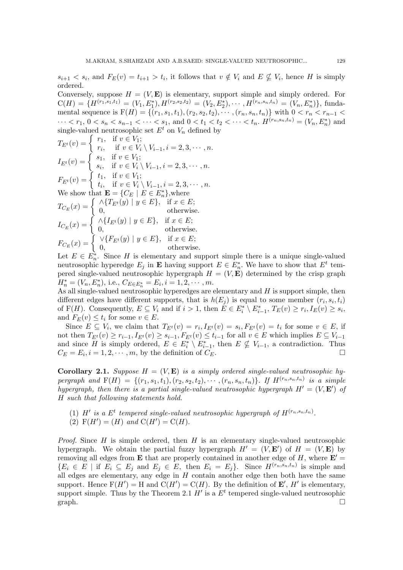$s_{i+1} < s_i$ , and  $F_E(v) = t_{i+1} > t_i$ , it follows that  $v \notin V_i$  and  $E \nsubseteq V_i$ , hence H is simply ordered.

Conversely, suppose  $H = (V, \mathbf{E})$  is elementary, support simple and simply ordered. For  $C(H) = \{H^{(r_1, s_1, t_1)} = (V_1, E_1^*), H^{(r_2, s_2, t_2)} = (V_2, E_2^*), \cdots, H^{(r_n, s_n, t_n)} = (V_n, E_n^*)\}, \text{funda-}$ mental sequence is  $F(H) = \{(r_1, s_1, t_1), (r_2, s_2, t_2), \dots, (r_n, s_n, t_n)\}$  with  $0 < r_n < r_{n-1} <$  $\cdots < r_1, 0 < s_n < s_{n-1} < \cdots < s_1$ , and  $0 < t_1 < t_2 < \cdots < t_n$ .  $H^{(r_n, s_n, t_n)} = (V_n, E_n^*)$  and single-valued neutrosophic set  $E^t$  on  $V_n$  defined by

$$
T_{E^t}(v) = \begin{cases} r_1, & \text{if } v \in V_1; \\ r_i, & \text{if } v \in V_i \setminus V_{i-1}, i = 2, 3, \cdots, n. \end{cases}
$$
\n
$$
I_{E^t}(v) = \begin{cases} s_1, & \text{if } v \in V_1; \\ s_i, & \text{if } v \in V_i \setminus V_{i-1}, i = 2, 3, \cdots, n. \end{cases}
$$
\n
$$
F_{E^t}(v) = \begin{cases} t_1, & \text{if } v \in V_1; \\ t_i, & \text{if } v \in V_i \setminus V_{i-1}, i = 2, 3, \cdots, n. \end{cases}
$$
\nWe show that  $\mathbf{E} = \{C_E \mid E \in E_n^*\}$ , where\n
$$
T_{C_E}(x) = \begin{cases} \land \{T_{E^t}(y) \mid y \in E\}, & \text{if } x \in E; \\ 0, & \text{otherwise.} \end{cases}
$$
\n
$$
I_{C_E}(x) = \begin{cases} \land \{I_{E^t}(y) \mid y \in E\}, & \text{if } x \in E; \\ 0, & \text{otherwise.} \end{cases}
$$
\n
$$
F_{C_E}(x) = \begin{cases} \lor \{F_{E^t}(y) \mid y \in E\}, & \text{if } x \in E; \\ 0, & \text{otherwise.} \end{cases}
$$

Let  $E \in E_n^*$ . Since H is elementary and support simple there is a unique single-valued neutrosophic hyperedge  $E_j$  in **E** having support  $E \in E_n^*$ . We have to show that  $E^t$  tempered single-valued neutrosophic hypergraph  $H = (V, E)$  determined by the crisp graph  $H_n^* = (V_n, E_n^*), \text{ i.e., } C_{E \in E_n^*} = E_i, i = 1, 2, \cdots, m.$ 

As all single-valued neutrosophic hyperedges are elementary and  $H$  is support simple, then different edges have different supports, that is  $h(E_j)$  is equal to some member  $(r_i, s_i, t_i)$ of F(H). Consequently,  $E \subseteq V_i$  and if  $i > 1$ , then  $E \in E_i^* \setminus E_{i-1}^*$ ,  $T_E(v) \ge r_i$ ,  $I_E(v) \ge s_i$ , and  $F_E(v) \leq t_i$  for some  $v \in E$ .

Since  $E \subseteq V_i$ , we claim that  $T_{E^t}(v) = r_i, I_{E^t}(v) = s_i, F_{E^t}(v) = t_i$  for some  $v \in E$ , if not then  $T_{E^t}(v) \ge r_{i-1}, I_{E^t}(v) \ge s_{i-1}, F_{E^t}(v) \le t_{i-1}$  for all  $v \in E$  which implies  $E \subseteq V_{i-1}$ and since H is simply ordered,  $E \in E_i^* \setminus E_{i-1}^*$ , then  $E \nsubseteq V_{i-1}$ , a contradiction. Thus  $C_E = E_i, i = 1, 2, \cdots, m$ , by the definition of  $C_E$ .

**Corollary 2.1.** Suppose  $H = (V, E)$  is a simply ordered single-valued neutrosophic hypergraph and  $F(H) = \{(r_1, s_1, t_1), (r_2, s_2, t_2), \cdots, (r_n, s_n, t_n)\}$ . If  $H^{(r_n, s_n, t_n)}$  is a simple hypergraph, then there is a partial single-valued neutrosophic hypergraph  $H' = (V, E')$  of H such that following statements hold.

(1) H' is a E<sup>t</sup> tempered single-valued neutrosophic hypergraph of  $H^{(r_n,s_n,t_n)}$ . (2)  $F(H') = (H)$  and  $C(H') = C(H)$ .

*Proof.* Since  $H$  is simple ordered, then  $H$  is an elementary single-valued neutrosophic hypergraph. We obtain the partial fuzzy hypergraph  $H' = (V, E')$  of  $H = (V, E)$  by removing all edges from **E** that are properly contained in another edge of H, where  $\mathbf{E}' =$  $\{E_i \in E \mid \text{if } E_i \subseteq E_j \text{ and } E_j \in E, \text{ then } E_i = E_j\}.$  Since  $H^{(r_n, s_n, t_n)}$  is simple and all edges are elementary, any edge in  $H$  contain another edge then both have the same support. Hence  $F(H') = H$  and  $C(H') = C(H)$ . By the definition of  $E'$ ,  $H'$  is elementary, support simple. Thus by the Theorem 2.1  $H'$  is a  $E<sup>t</sup>$  tempered single-valued neutrosophic  $graph.$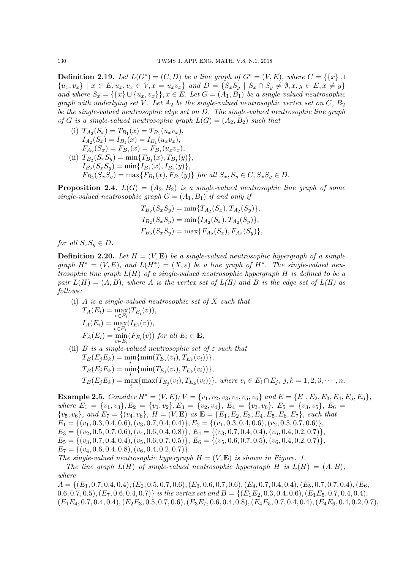**Definition 2.19.** Let  $L(G^*) = (C, D)$  be a line graph of  $G^* = (V, E)$ , where  $C = \{\{x\} \cup$  $\{u_x, v_x\} \mid x \in E, u_x, v_x \in V, x = u_x v_x\}$  and  $D = \{S_x S_y \mid S_x \cap S_y \neq \emptyset, x, y \in E, x \neq y\}$ and where  $S_x = \{\{x\} \cup \{u_x, v_x\}\}\$ ,  $x \in E$ . Let  $G = (A_1, B_1)$  be a single-valued neutrosophic graph with underlying set V. Let  $A_2$  be the single-valued neutrosophic vertex set on C,  $B_2$ be the single-valued neutrosophic edge set on D. The single-valued neutrosophic line graph of G is a single-valued neutrosophic graph  $L(G) = (A_2, B_2)$  such that

(i)  $T_{A_2}(S_x) = T_{B_1}(x) = T_{B_1}(u_xv_x),$  $I_{A_2}(S_x) = I_{B_1}(x) = I_{B_1}(u_xv_x),$  $F_{A_2}(S_x) = F_{B_1}(x) = F_{B_1}(u_xv_x),$ (ii)  $T_{B_2}(S_xS_y) = \min\{T_{B_1}(x), T_{B_1}(y)\},\$  $I_{B_2}(S_xS_y) = \min\{I_{B_1}(x), I_{B_1}(y)\},\,$  $F_{B_2}(S_xS_y) = \max\{F_{B_1}(x), F_{B_1}(y)\}\$  for all  $S_x, S_y \in C, S_xS_y \in D$ .

**Proposition 2.4.**  $L(G) = (A_2, B_2)$  is a single-valued neutrosophic line graph of some single-valued neutrosophic graph  $G = (A_1, B_1)$  if and only if

$$
T_{B_2}(S_xS_y) = \min\{T_{A_2}(S_x), T_{A_2}(S_y)\},
$$
  
\n
$$
I_{B_2}(S_xS_y) = \min\{I_{A_2}(S_x), T_{A_2}(S_y)\},
$$
  
\n
$$
F_{B_2}(S_xS_y) = \max\{F_{A_2}(S_x), F_{A_2}(S_y)\},
$$

for all  $S_xS_y \in D$ .

**Definition 2.20.** Let  $H = (V, E)$  be a single-valued neutrosophic hypergraph of a simple graph  $H^* = (V, E)$ , and  $L(H^*) = (X, \varepsilon)$  be a line graph of  $H^*$ . The single-valued neutrosophic line graph  $L(H)$  of a single-valued neutrosophic hypergraph  $H$  is defined to be a pair  $L(H) = (A, B)$ , where A is the vertex set of  $L(H)$  and B is the edge set of  $L(H)$  as follows:

- (i) A is a single-valued neutrosophic set of  $X$  such that  $T_A(E_i) = \max_{v \in F} (T_{E_i}(v)),$  $v \in E_i$  $I_A(E_i) = \max_{v \in E_i} (I_{E_i}(v)),$  $F_A(E_i) = \min_{v \in E_i} (F_{E_i}(v))$  for all  $E_i \in \mathbf{E}$ , (ii) B is a single-valued neutrosophic set of  $\varepsilon$  such that
- $T_B(E_j E_k) = \min \{ \min(T_{E_j}(v_i), T_{E_k}(v_i)) \},$  $T_B(E_jE_k) = \min_i\{\min(T_{E_j}(v_i), T_{E_k}(v_i))\},$  $T_B(E_j E_k) = \max_i \{ \max(T_{E_j}(v_i), T_{E_k}(v_i)) \},$  where  $v_i \in E_i \cap E_j$ ,  $j, k = 1, 2, 3, \cdots, n$ .

Example 2.5. Consider  $H^* = (V, E); V = \{v_1, v_2, v_3, v_4, v_5, v_6\}$  and  $E = \{E_1, E_2, E_3, E_4, E_5, E_6\}$ , where  $E_1 = \{v_1, v_3\}, E_2 = \{v_1, v_2\}, E_3 = \{v_2, v_4\}, E_4 = \{v_3, v_6\}, E_5 = \{v_3, v_5\}, E_6 =$  $\{v_5, v_6\}$ , and  $E_7 = \{(v_4, v_6\}, H = (V, \mathbf{E}) \text{ as } \mathbf{E} = \{E_1, E_2, E_3, E_4, E_5, E_6, E_7\}$ , such that  $E_1 = \{(v_1, 0.3, 0.4, 0.6), (v_3, 0.7, 0.4, 0.4)\}, E_2 = \{(v_1, 0.3, 0.4, 0.6), (v_2, 0.5, 0.7, 0.6)\},\$  $E_3 = \{(v_2, 0.5, 0.7, 0.6), (v_4, 0.6, 0.4, 0.8)\}, E_4 = \{(v_3, 0.7, 0.4, 0.4), (v_6, 0.4, 0.2, 0.7)\},$  $E_5 = \{(v_3, 0.7, 0.4, 0.4), (v_5, 0.6, 0.7, 0.5)\}, E_6 = \{(v_5, 0.6, 0.7, 0.5), (v_6, 0.4, 0.2, 0.7)\},\$  $E_7 = \{(v_4, 0.6, 0.4, 0.8), (v_6, 0.4, 0.2, 0.7)\}.$ The single-valued neutrosophic hypergraph  $H = (V, E)$  is shown in Figure. 1.

The line graph  $L(H)$  of single-valued neutrosophic hypergraph H is  $L(H) = (A, B)$ , where

 $A = \{(E_1, 0.7, 0.4, 0.4), (E_2, 0.5, 0.7, 0.6), (E_3, 0.6, 0.7, 0.6), (E_4, 0.7, 0.4, 0.4), (E_5, 0.7, 0.7, 0.4), (E_6, 0.7, 0.7, 0.7), (E_7, 0.7, 0.4), (E_8, 0.7, 0.7, 0.4), (E_9, 0.7, 0.7, 0.7), (E_9, 0.7, 0.7, 0.7), (E_1, 0.7, 0.4), (E_2, 0$ 0.6, 0.7, 0.5),  $(E_7, 0.6, 0.4, 0.7)$  is the vertex set and  $B = \{(E_1E_2, 0.3, 0.4, 0.6), (E_1E_5, 0.7, 0.4, 0.4),$  $(E_1E_4, 0.7, 0.4, 0.4), (E_2E_3, 0.5, 0.7, 0.6), (E_3E_7, 0.6, 0.4, 0.8), (E_4E_5, 0.7, 0.4, 0.4), (E_4E_6, 0.4, 0.2, 0.7),$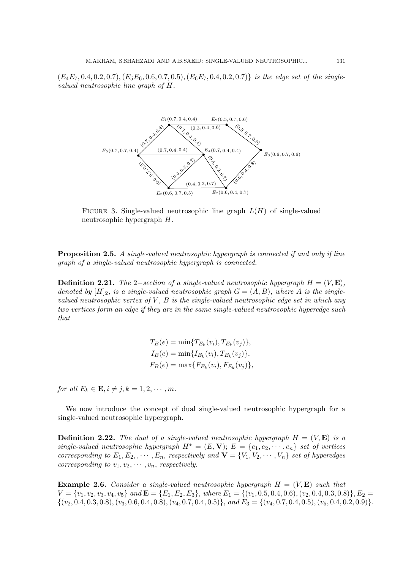$(E_4E_7, 0.4, 0.2, 0.7), (E_5E_6, 0.6, 0.7, 0.5), (E_6E_7, 0.4, 0.2, 0.7)$  is the edge set of the singlevalued neutrosophic line graph of H.



FIGURE 3. Single-valued neutrosophic line graph  $L(H)$  of single-valued neutrosophic hypergraph H.

**Proposition 2.5.** A single-valued neutrosophic hypergraph is connected if and only if line graph of a single-valued neutrosophic hypergraph is connected.

**Definition 2.21.** The 2–section of a single-valued neutrosophic hypergraph  $H = (V, \mathbf{E})$ , denoted by  $[H]_2$ , is a single-valued neutrosophic graph  $G = (A, B)$ , where A is the singlevalued neutrosophic vertex of  $V$ ,  $B$  is the single-valued neutrosophic edge set in which any two vertices form an edge if they are in the same single-valued neutrosophic hyperedge such that

> $T_B(e) = \min\{T_{E_k}(v_i), T_{E_k}(v_j)\},\$  $I_B(e) = \min\{I_{E_k}(v_i), T_{E_k}(v_j)\},\$  $F_B(e) = \max\{F_{E_k}(v_i), F_{E_k}(v_j)\},\$

for all  $E_k \in \mathbf{E}, i \neq j, k = 1, 2, \cdots, m$ .

We now introduce the concept of dual single-valued neutrosophic hypergraph for a single-valued neutrosophic hypergraph.

**Definition 2.22.** The dual of a single-valued neutrosophic hypergraph  $H = (V, \mathbf{E})$  is a single-valued neutrosophic hypergraph  $H^* = (E, V); E = \{e_1, e_2, \cdots, e_n\}$  set of vertices corresponding to  $E_1, E_2, \ldots, E_n$ , respectively and  $\mathbf{V} = \{V_1, V_2, \ldots, V_n\}$  set of hyperedges corresponding to  $v_1, v_2, \cdots, v_n$ , respectively.

**Example 2.6.** Consider a single-valued neutrosophic hypergraph  $H = (V, E)$  such that  $V = \{v_1, v_2, v_3, v_4, v_5\}$  and  $\mathbf{E} = \{E_1, E_2, E_3\}$ , where  $E_1 = \{(v_1, 0.5, 0.4, 0.6), (v_2, 0.4, 0.3, 0.8)\}, E_2 =$  $\{(v_2, 0.4, 0.3, 0.8), (v_3, 0.6, 0.4, 0.8), (v_4, 0.7, 0.4, 0.5)\}, and E_3 = \{(v_4, 0.7, 0.4, 0.5), (v_5, 0.4, 0.2, 0.9)\}.$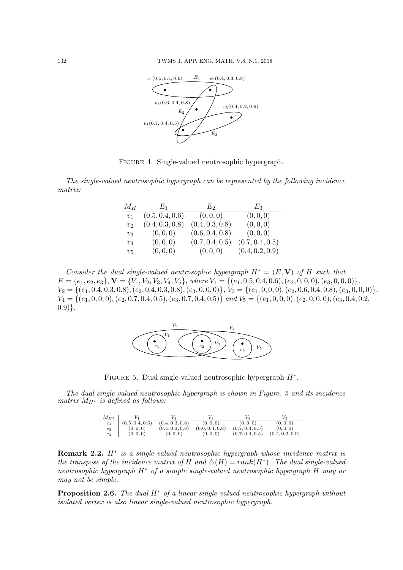

Figure 4. Single-valued neutrosophic hypergraph.

The single-valued neutrosophic hypergraph can be represented by the following incidence matrix:

| $M_H$ | $E_1$           | Eэ              | $E_3$           |
|-------|-----------------|-----------------|-----------------|
| $v_1$ | (0.5, 0.4, 0.6) | (0,0,0)         | (0,0,0)         |
| $v_2$ | (0.4, 0.3, 0.8) | (0.4, 0.3, 0.8) | (0,0,0)         |
| $v_3$ | (0,0,0)         | (0.6, 0.4, 0.8) | (0,0,0)         |
| $v_4$ | (0,0,0)         | (0.7, 0.4, 0.5) | (0.7, 0.4, 0.5) |
| $v_5$ | (0, 0, 0)       | (0,0,0)         | (0.4, 0.2, 0.9) |

Consider the dual single-valued neutrosophic hypergraph  $H^* = (E, V)$  of H such that  $E = \{e_1, e_2, e_3\}, \mathbf{V} = \{V_1, V_2, V_3, V_4, V_5\},$  where  $V_1 = \{(e_1, 0.5, 0.4, 0.6), (e_2, 0, 0, 0), (e_3, 0, 0, 0)\},$  $V_2 = \{(e_1, 0.4, 0.3, 0.8), (e_2, 0.4, 0.3, 0.8), (e_3, 0, 0, 0)\},\ V_3 = \{(e_1, 0, 0, 0), (e_2, 0.6, 0.4, 0.8), (e_3, 0, 0, 0)\},\$  $V_4 = \{(e_1, 0, 0, 0), (e_2, 0.7, 0.4, 0.5), (e_3, 0.7, 0.4, 0.5)\}$  and  $V_5 = \{(e_1, 0, 0, 0), (e_2, 0, 0, 0), (e_3, 0.4, 0.2,$  $(0.9)$ .



FIGURE 5. Dual single-valued neutrosophic hypergraph  $H^*$ .

The dual single-valued neutrosophic hypergraph is shown in Figure. 5 and its incidence matrix  $M_{H^*}$  is defined as follows:

| $M_{H^*}$           |                 |                 |                 |                 |                 |
|---------------------|-----------------|-----------------|-----------------|-----------------|-----------------|
| e <sub>1</sub>      | (0.5, 0.4, 0.6) | (0.4, 0.3, 0.8) | (0, 0, 0)       | (0, 0, 0)       | (0, 0, 0)       |
| $\scriptstyle{e_2}$ | (0, 0, 0)       | (0.4, 0.3, 0.8) | (0.6, 0.4, 0.8) | (0.7, 0.4, 0.5) | (0, 0, 0)       |
| $e_3$               | (0, 0, 0)       | (0, 0, 0)       | (0, 0, 0)       | (0.7, 0.4, 0.5) | (0.4, 0.2, 0.9) |

**Remark 2.2.**  $H^*$  is a single-valued neutrosophic hypergraph whose incidence matrix is the transpose of the incidence matrix of H and  $\Delta(H) = rank(H^*)$ . The dual single-valued neutrosophic hypergraph H<sup>∗</sup> of a simple single-valued neutrosophic hypergraph H may or may not be simple.

**Proposition 2.6.** The dual  $H^*$  of a linear single-valued neutrosophic hypergraph without isolated vertex is also linear single-valued neutrosophic hypergraph.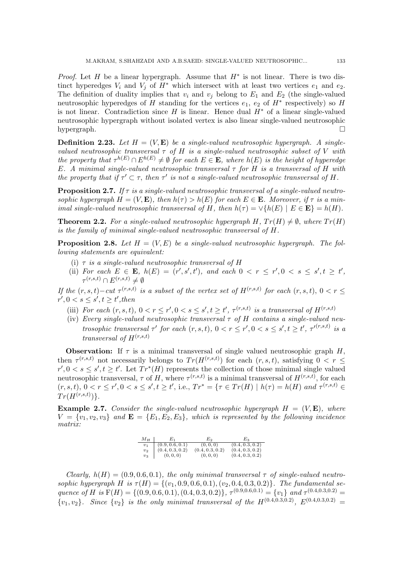*Proof.* Let H be a linear hypergraph. Assume that  $H^*$  is not linear. There is two distinct hyperedges  $V_i$  and  $V_j$  of  $H^*$  which intersect with at least two vertices  $e_1$  and  $e_2$ . The definition of duality implies that  $v_i$  and  $v_j$  belong to  $E_1$  and  $E_2$  (the single-valued neutrosophic hyperedges of H standing for the vertices  $e_1, e_2$  of  $H^*$  respectively) so H is not linear. Contradiction since H is linear. Hence dual  $H^*$  of a linear single-valued neutrosophic hypergraph without isolated vertex is also linear single-valued neutrosophic hypergraph.  $\square$ 

**Definition 2.23.** Let  $H = (V, E)$  be a single-valued neutrosophic hypergraph. A singlevalued neutrosophic transversal  $\tau$  of H is a single-valued neutrosophic subset of V with the property that  $\tau^{h(E)} \cap E^{h(E)} \neq \emptyset$  for each  $E \in \mathbf{E}$ , where  $h(E)$  is the height of hyperedge E. A minimal single-valued neutrosophic transversal  $\tau$  for H is a transversal of H with the property that if  $\tau' \subset \tau$ , then  $\tau'$  is not a single-valued neutrosophic transversal of H.

**Proposition 2.7.** If  $\tau$  is a single-valued neutrosophic transversal of a single-valued neutrosophic hypergraph  $H = (V, \mathbf{E})$ , then  $h(\tau) > h(E)$  for each  $E \in \mathbf{E}$ . Moreover, if  $\tau$  is a minimal single-valued neutrosophic transversal of H, then  $h(\tau) = \vee \{h(E) \mid E \in \mathbf{E}\} = h(H)$ .

**Theorem 2.2.** For a single-valued neutrosophic hypergraph H,  $Tr(H) \neq \emptyset$ , where  $Tr(H)$ is the family of minimal single-valued neutrosophic transversal of H.

**Proposition 2.8.** Let  $H = (V, E)$  be a single-valued neutrosophic hypergraph. The following statements are equivalent:

- (i)  $\tau$  is a single-valued neutrosophic transversal of H
- (ii) For each  $E \in \mathbf{E}$ ,  $h(E) = (r', s', t')$ , and each  $0 < r \leq r', 0 < s \leq s', t \geq t'$ ,  $\tau^{(r,s,t)} \cap E^{(r,s,t)} \neq \emptyset$

If the  $(r, s, t) - cut \tau^{(r, s, t)}$  is a subset of the vertex set of  $H^{(r, s, t)}$  for each  $(r, s, t)$ ,  $0 < r \leq$  $r', 0 < s \leq s', t \geq t'$ , then

- (iii) For each  $(r, s, t)$ ,  $0 < r \leq r'$ ,  $0 < s \leq s'$ ,  $t \geq t'$ ,  $\tau^{(r, s, t)}$  is a transversal of  $H^{(r, s, t)}$
- (iv) Every single-valued neutrosophic transversal  $\tau$  of H contains a single-valued neutrosophic transversal  $\tau'$  for each  $(r, s, t)$ ,  $0 < r \leq r'$ ,  $0 < s \leq s'$ ,  $t \geq t'$ ,  $\tau'^{(r, s, t)}$  is a transversal of  $H^{(r,s,t)}$

**Observation:** If  $\tau$  is a minimal transversal of single valued neutrosophic graph  $H$ , then  $\tau^{(r,s,t)}$  not necessarily belongs to  $Tr(H^{(r,s,t)})$  for each  $(r,s,t)$ , satisfying  $0 < r \leq$  $r', 0 < s \leq s', t \geq t'$ . Let  $Tr^{*}(H)$  represents the collection of those minimal single valued neutrosophic transversal,  $\tau$  of H, where  $\tau^{(r,s,t)}$  is a minimal transversal of  $H^{(r,s,t)}$ , for each  $(r, s, t), 0 < r \leq r', 0 < s \leq s', t \geq t'$ , i.e.,  $Tr^* = \{ \tau \in Tr(H) \mid h(\tau) = h(H) \text{ and } \tau^{(r, s, t)} \in$  $Tr(H^{(r,s,t)})\}.$ 

**Example 2.7.** Consider the single-valued neutrosophic hypergraph  $H = (V, E)$ , where  $V = \{v_1, v_2, v_3\}$  and  $\mathbf{E} = \{E_1, E_2, E_3\}$ , which is represented by the following incidence matrix:

| $M_H$          | Ea -            | L,              | E2              |
|----------------|-----------------|-----------------|-----------------|
| v <sub>1</sub> | (0.9, 0.6, 0.1) | (0,0,0)         | (0.4, 0.3, 0.2) |
| $v_2$          | (0.4, 0.3, 0.2) | (0.4, 0.3, 0.2) | (0.4, 0.3, 0.2) |
| $v_3$          | (0, 0, 0)       | (0,0,0)         | (0.4, 0.3, 0.2) |

Clearly,  $h(H) = (0.9, 0.6, 0.1)$ , the only minimal transversal  $\tau$  of single-valued neutrosophic hypergraph H is  $\tau(H) = \{(v_1, 0.9, 0.6, 0.1), (v_2, 0.4, 0.3, 0.2)\}\.$  The fundamental sequence of H is  $F(H) = \{(0.9, 0.6, 0.1), (0.4, 0.3, 0.2)\}, \tau^{(0.9, 0.6, 0.1)} = \{v_1\}$  and  $\tau^{(0.4, 0.3, 0.2)}$  ${v_1, v_2}.$  Since  ${v_2}$  is the only minimal transversal of the  $H^{(0.4,0.3,0.2)}$ ,  $E^{(0.4,0.3,0.2)}$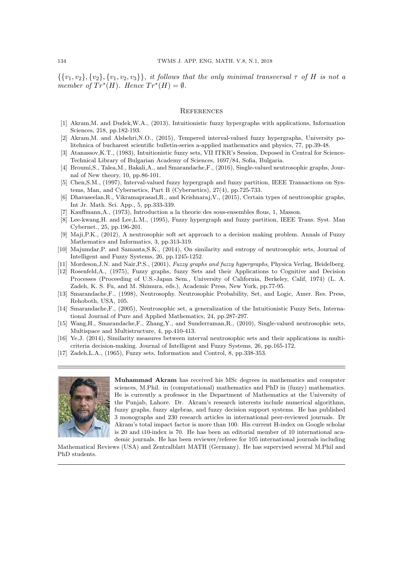$\{\{v_1, v_2\}, \{v_2\}, \{v_1, v_2, v_3\}\}\$ , it follows that the only minimal transversal  $\tau$  of H is not a member of  $Tr^{*}(H)$ . Hence  $Tr^{*}(H) = \emptyset$ .

### **REFERENCES**

- [1] Akram,M. and Dudek,W.A., (2013), Intuitionistic fuzzy hypergraphs with applications, Information Sciences, 218, pp.182-193.
- [2] Akram,M. and Alshehri,N.O., (2015), Tempered interval-valued fuzzy hypergraphs, University politehnica of bucharest scientific bulletin-series a-applied mathematics and physics, 77, pp.39-48.
- [3] Atanassov,K.T., (1983), Intuitionistic fuzzy sets, VII ITKR's Session, Deposed in Central for Science-Technical Library of Bulgarian Academy of Sciences, 1697/84, Sofia, Bulgaria.
- [4] Broumi,S., Talea,M., Bakali,A., and Smarandache,F., (2016), Single-valued neutrosophic graphs, Journal of New theory, 10, pp.86-101.
- [5] Chen,S.M., (1997), Interval-valued fuzzy hypergraph and fuzzy partition, IEEE Transactions on Systems, Man, and Cybernetics, Part B (Cybernetics), 27(4), pp.725-733.
- [6] Dhavaseelan,R., Vikramaprasad,R., and Krishnaraj,V., (2015), Certain types of neutrosophic graphs, Int Jr. Math. Sci. App., 5, pp.333-339.
- [7] Kauffmann,A., (1973), Introduction a la theorie des sous-ensembles flous, 1, Masson.
- [8] Lee-kwang,H. and Lee,L.M., (1995), Fuzzy hypergraph and fuzzy partition, IEEE Trans. Syst. Man Cybernet., 25, pp.196-201.
- [9] Maji,P.K., (2012), A neutrosophic soft set approach to a decision making problem. Annals of Fuzzy Mathematics and Informatics, 3, pp.313-319.
- [10] Majumdar,P. and Samanta,S.K., (2014), On similarity and entropy of neutrosophic sets, Journal of Intelligent and Fuzzy Systems, 26, pp.1245-1252.
- [11] Mordeson,J.N. and Nair,P.S., (2001), Fuzzy graphs and fuzzy hypergraphs, Physica Verlag, Heidelberg.
- [12] Rosenfeld,A., (1975), Fuzzy graphs, fuzzy Sets and their Applications to Cognitive and Decision Processes (Proceeding of U.S.-Japan Sem., University of California, Berkeley, Calif, 1974) (L. A. Zadeh, K. S. Fu, and M. Shimura, eds.), Academic Press, New York, pp.77-95.
- [13] Smarandache,F., (1998), Neutrosophy. Neutrosophic Probability, Set, and Logic, Amer. Res. Press, Rehoboth, USA, 105.
- [14] Smarandache,F., (2005), Neutrosophic set, a generalization of the Intuitionistic Fuzzy Sets, International Journal of Pure and Applied Mathematics, 24, pp.287-297.
- [15] Wang, H., Smarandache, F., Zhang, Y., and Sunderraman, R., (2010), Single-valued neutrosophic sets, Multispace and Multistructure, 4, pp.410-413.
- [16] Ye,J. (2014), Similarity measures between interval neutrosophic sets and their applications in multicriteria decision-making. Journal of Intelligent and Fuzzy Systems, 26, pp.165-172.
- [17] Zadeh,L.A., (1965), Fuzzy sets, Information and Control, 8, pp.338-353.



Muhammad Akram has received his MSc degrees in mathematics and computer sciences, M.Phil. in (computational) mathematics and PhD in (fuzzy) mathematics. He is currently a professor in the Department of Mathematics at the University of the Punjab, Lahore. Dr. Akram's research interests include numerical algorithms, fuzzy graphs, fuzzy algebras, and fuzzy decision support systems. He has published 3 monographs and 230 research articles in international peer-reviewed journals. Dr Akram's total impact factor is more than 100. His current H-index on Google scholar is 20 and i10-index is 70. He has been an editorial member of 10 international academic journals. He has been reviewer/referee for 105 international journals including

Mathematical Reviews (USA) and Zentralblatt MATH (Germany). He has supervised several M.Phil and PhD students.